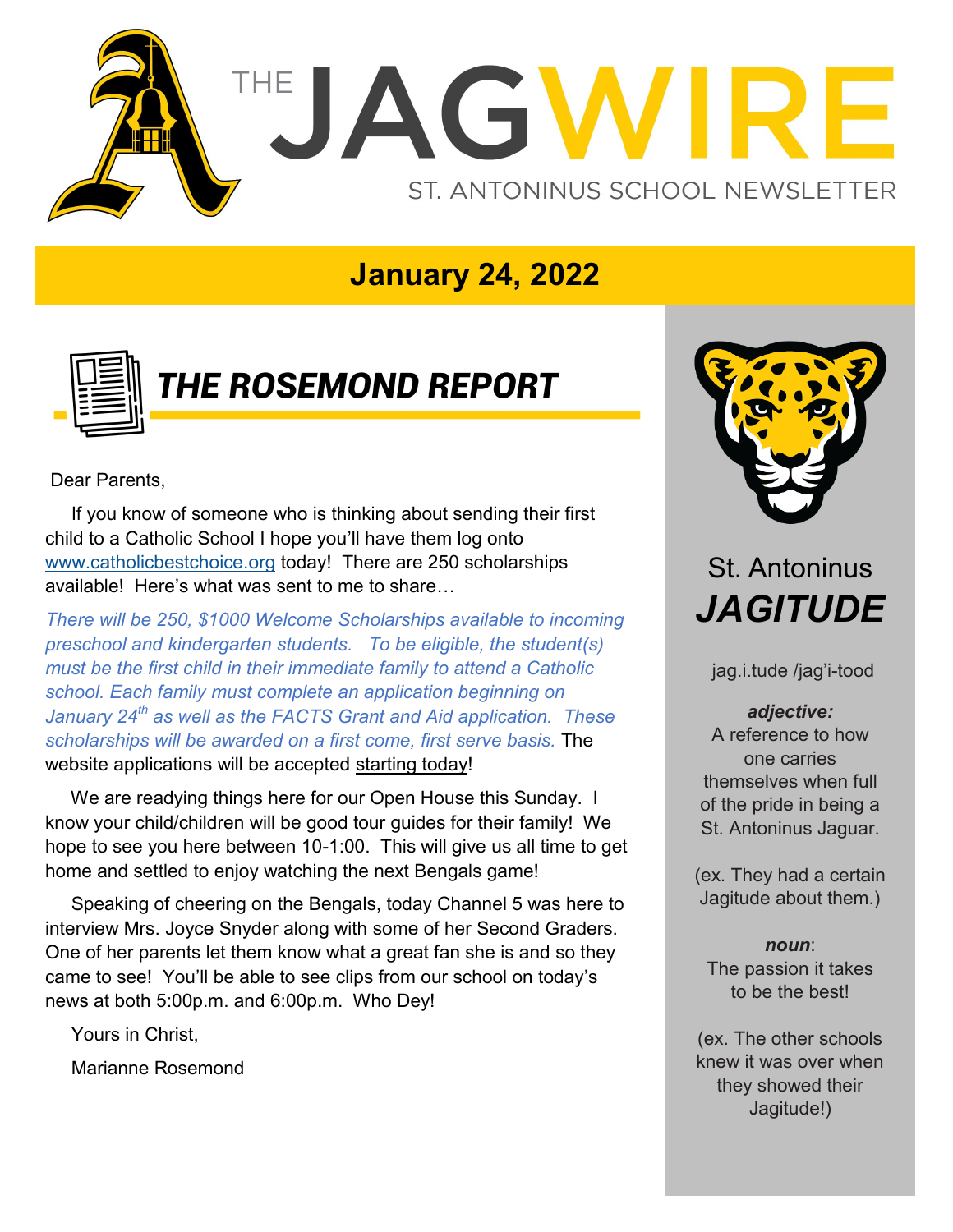

### **January 24, 2022**



# **THE ROSEMOND REPORT**

Dear Parents,

 If you know of someone who is thinking about sending their first child to a Catholic School I hope you'll have them log onto [www.catholicbestchoice.org](http://www.catholicbestchoice.org) today! There are 250 scholarships available! Here's what was sent to me to share…

*There will be 250, \$1000 Welcome Scholarships available to incoming preschool and kindergarten students. To be eligible, the student(s) must be the first child in their immediate family to attend a Catholic school. Each family must complete an application beginning on January 24th as well as the FACTS Grant and Aid application. These scholarships will be awarded on a first come, first serve basis.* The website applications will be accepted starting today!

We are readying things here for our Open House this Sunday. I know your child/children will be good tour guides for their family! We hope to see you here between 10-1:00. This will give us all time to get home and settled to enjoy watching the next Bengals game!

 Speaking of cheering on the Bengals, today Channel 5 was here to interview Mrs. Joyce Snyder along with some of her Second Graders. One of her parents let them know what a great fan she is and so they came to see! You'll be able to see clips from our school on today's news at both 5:00p.m. and 6:00p.m. Who Dey!

Yours in Christ,

Marianne Rosemond



## St. Antoninus *JAGITUDE*

jag.i.tude /jag'i-tood

*adjective:*  A reference to how one carries themselves when full of the pride in being a St. Antoninus Jaguar.

(ex. They had a certain Jagitude about them.)

*noun*: The passion it takes to be the best!

(ex. The other schools knew it was over when they showed their Jagitude!)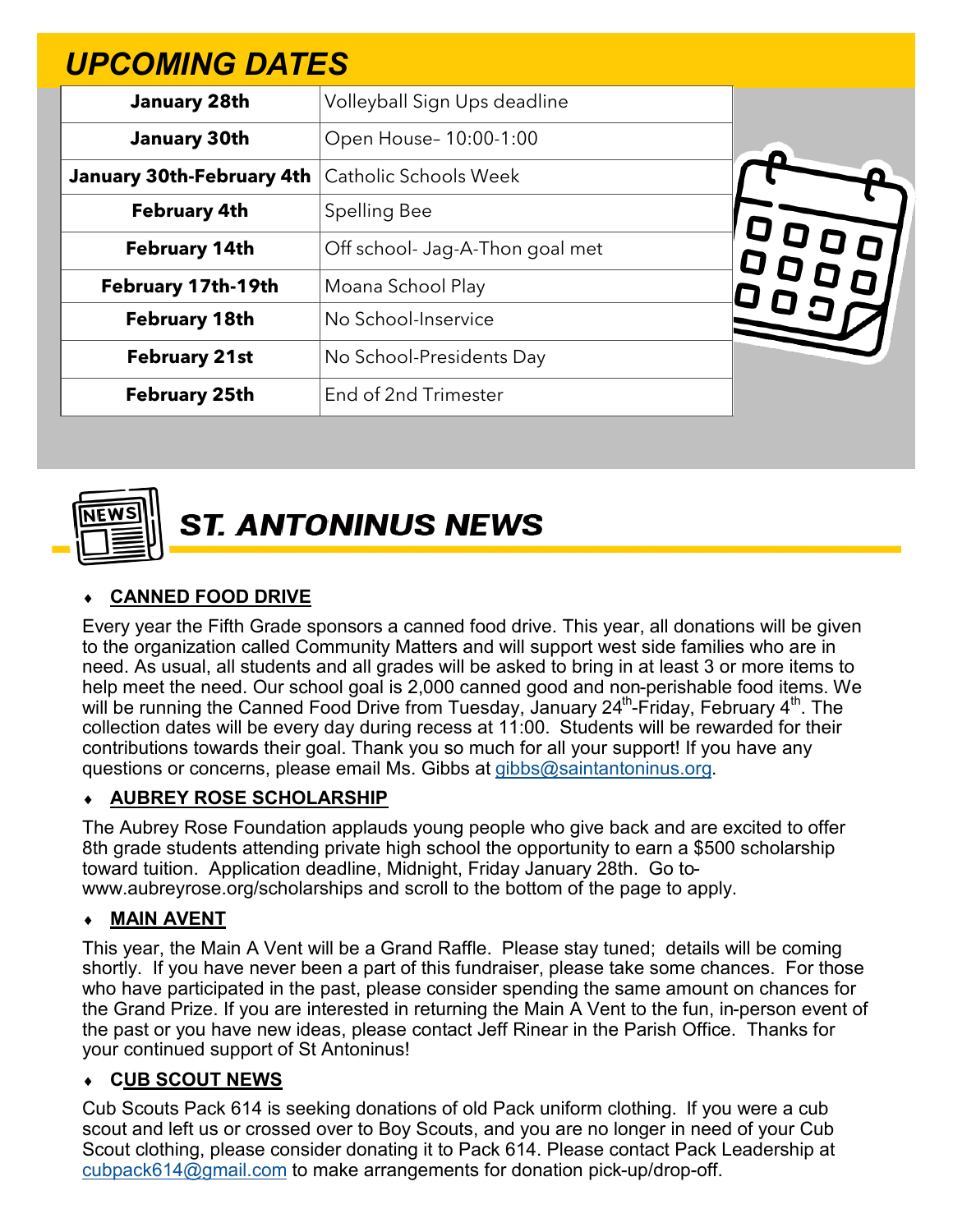| <b>UPCOMING DATES</b>     |                                 |  |
|---------------------------|---------------------------------|--|
| <b>January 28th</b>       | Volleyball Sign Ups deadline    |  |
| <b>January 30th</b>       | Open House- 10:00-1:00          |  |
| January 30th-February 4th | <b>Catholic Schools Week</b>    |  |
| <b>February 4th</b>       | <b>Spelling Bee</b>             |  |
| <b>February 14th</b>      | Off school- Jag-A-Thon goal met |  |
| February 17th-19th        | Moana School Play               |  |
| <b>February 18th</b>      | No School-Inservice             |  |
| <b>February 21st</b>      | No School-Presidents Day        |  |
| <b>February 25th</b>      | End of 2nd Trimester            |  |



**ST. ANTONINUS NEWS** 

#### **CANNED FOOD DRIVE**

Every year the Fifth Grade sponsors a canned food drive. This year, all donations will be given to the organization called Community Matters and will support west side families who are in need. As usual, all students and all grades will be asked to bring in at least 3 or more items to help meet the need. Our school goal is 2,000 canned good and non-perishable food items. We will be running the Canned Food Drive from Tuesday, January 24 $^{\rm th}$ -Friday, February 4 $^{\rm th}$ . The collection dates will be every day during recess at 11:00. Students will be rewarded for their contributions towards their goal. Thank you so much for all your support! If you have any questions or concerns, please email Ms. Gibbs at [gibbs@saintantoninus.org.](mailto:gibbs@saintantoninus.org)

#### **AUBREY ROSE SCHOLARSHIP**

The Aubrey Rose Foundation applauds young people who give back and are excited to offer 8th grade students attending private high school the opportunity to earn a \$500 scholarship toward tuition. Application deadline, Midnight, Friday January 28th. Go towww.aubreyrose.org/scholarships and scroll to the bottom of the page to apply.

#### **MAIN AVENT**

This year, the Main A Vent will be a Grand Raffle. Please stay tuned; details will be coming shortly. If you have never been a part of this fundraiser, please take some chances. For those who have participated in the past, please consider spending the same amount on chances for the Grand Prize. If you are interested in returning the Main A Vent to the fun, in-person event of the past or you have new ideas, please contact Jeff Rinear in the Parish Office. Thanks for your continued support of St Antoninus!

#### **CUB SCOUT NEWS**

Cub Scouts Pack 614 is seeking donations of old Pack uniform clothing. If you were a cub scout and left us or crossed over to Boy Scouts, and you are no longer in need of your Cub Scout clothing, please consider donating it to Pack 614. Please contact Pack Leadership at [cubpack614@gmail.com](mailto:cubpack614@gmail.com) to make arrangements for donation pick-up/drop-off.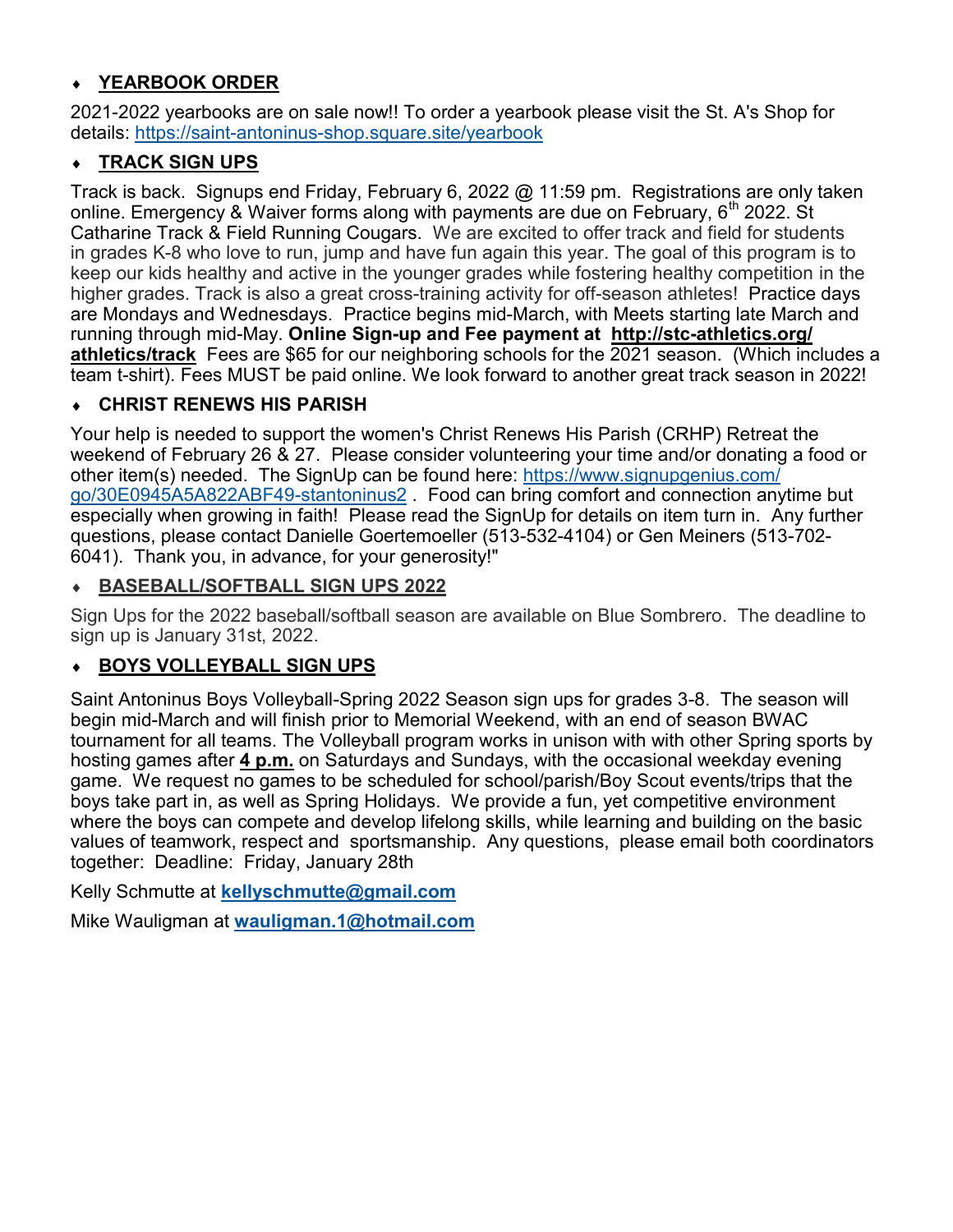#### **YEARBOOK ORDER**

2021-2022 yearbooks are on sale now!! To order a yearbook please visit the St. A's Shop for details: https://saint-antoninus-[shop.square.site/yearbook](https://saint-antoninus-shop.square.site/yearbook?fbclid=IwAR2fybyIeXtIAaJuIWFYV1giHu4etNhhBZqqtLu0KS4ii51VumN3k9YTzXc)

#### **TRACK SIGN UPS**

Track is back. Signups end Friday, February 6, 2022 @ 11:59 pm. Registrations are only taken online. Emergency & Waiver forms along with payments are due on February,  $6<sup>th</sup>$  2022. St Catharine Track & Field Running Cougars. We are excited to offer track and field for students in grades K-8 who love to run, jump and have fun again this year. The goal of this program is to keep our kids healthy and active in the younger grades while fostering healthy competition in the higher grades. Track is also a great cross-training activity for off-season athletes! Practice days are Mondays and Wednesdays. Practice begins mid-March, with Meets starting late March and running through mid-May. **Online Sign-up and Fee payment at http://stc-[athletics.org/](http://stc-athletics.org/athletics/track) [athletics/track](http://stc-athletics.org/athletics/track)** Fees are \$65 for our neighboring schools for the 2021 season. (Which includes a team t-shirt). Fees MUST be paid online. We look forward to another great track season in 2022!

#### **CHRIST RENEWS HIS PARISH**

Your help is needed to support the women's Christ Renews His Parish (CRHP) Retreat the weekend of February 26 & 27. Please consider volunteering your time and/or donating a food or other item(s) needed. The SignUp can be found here: [https://www.signupgenius.com/](https://www.signupgenius.com/go/30E0945A5A822ABF49-stantoninus2) [go/30E0945A5A822ABF49](https://www.signupgenius.com/go/30E0945A5A822ABF49-stantoninus2)-stantoninus2 . Food can bring comfort and connection anytime but especially when growing in faith! Please read the SignUp for details on item turn in. Any further questions, please contact Danielle Goertemoeller (513-532-4104) or Gen Meiners (513-702- 6041). Thank you, in advance, for your generosity!"

#### **BASEBALL/SOFTBALL SIGN UPS 2022**

Sign Ups for the 2022 baseball/softball season are available on Blue Sombrero. The deadline to sign up is January 31st, 2022.

#### **BOYS VOLLEYBALL SIGN UPS**

Saint Antoninus Boys Volleyball-Spring 2022 Season sign ups for grades 3-8. The season will begin mid-March and will finish prior to Memorial Weekend, with an end of season BWAC tournament for all teams. The Volleyball program works in unison with with other Spring sports by hosting games after **4 p.m.** on Saturdays and Sundays, with the occasional weekday evening game. We request no games to be scheduled for school/parish/Boy Scout events/trips that the boys take part in, as well as Spring Holidays. We provide a fun, yet competitive environment where the boys can compete and develop lifelong skills, while learning and building on the basic values of teamwork, respect and sportsmanship. Any questions, please email both coordinators together: Deadline: Friday, January 28th

Kelly Schmutte at **[kellyschmutte@gmail.com](mailto:kellyschmutte@gmail.com)**

Mike Wauligman at **[wauligman.1@hotmail.com](mailto:wauligman.1@hotmail.com)**